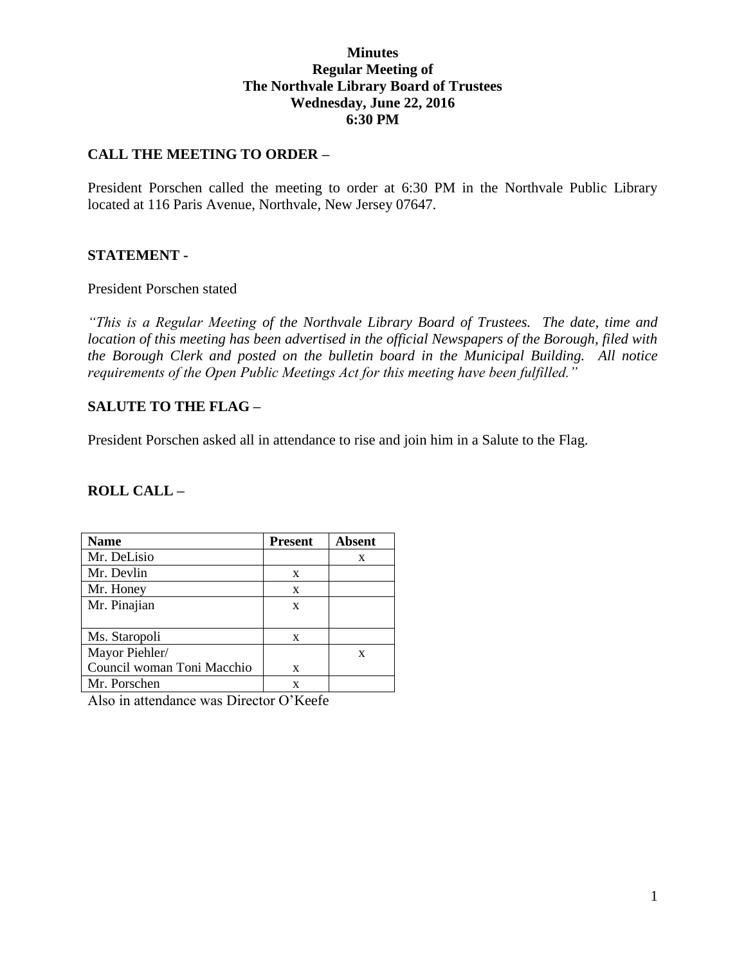## **Minutes Regular Meeting of The Northvale Library Board of Trustees Wednesday, June 22, 2016 6:30 PM**

## **CALL THE MEETING TO ORDER –**

President Porschen called the meeting to order at 6:30 PM in the Northvale Public Library located at 116 Paris Avenue, Northvale, New Jersey 07647.

### **STATEMENT -**

#### President Porschen stated

*"This is a Regular Meeting of the Northvale Library Board of Trustees. The date, time and location of this meeting has been advertised in the official Newspapers of the Borough, filed with the Borough Clerk and posted on the bulletin board in the Municipal Building. All notice requirements of the Open Public Meetings Act for this meeting have been fulfilled."* 

### **SALUTE TO THE FLAG –**

President Porschen asked all in attendance to rise and join him in a Salute to the Flag.

## **ROLL CALL –**

| <b>Name</b>                | <b>Present</b> | Absent |
|----------------------------|----------------|--------|
| Mr. DeLisio                |                | X      |
| Mr. Devlin                 | X              |        |
| Mr. Honey                  | X              |        |
| Mr. Pinajian               | X              |        |
|                            |                |        |
| Ms. Staropoli              | X              |        |
| Mayor Piehler/             |                | X      |
| Council woman Toni Macchio | X              |        |
| Mr. Porschen               | x              |        |

Also in attendance was Director O'Keefe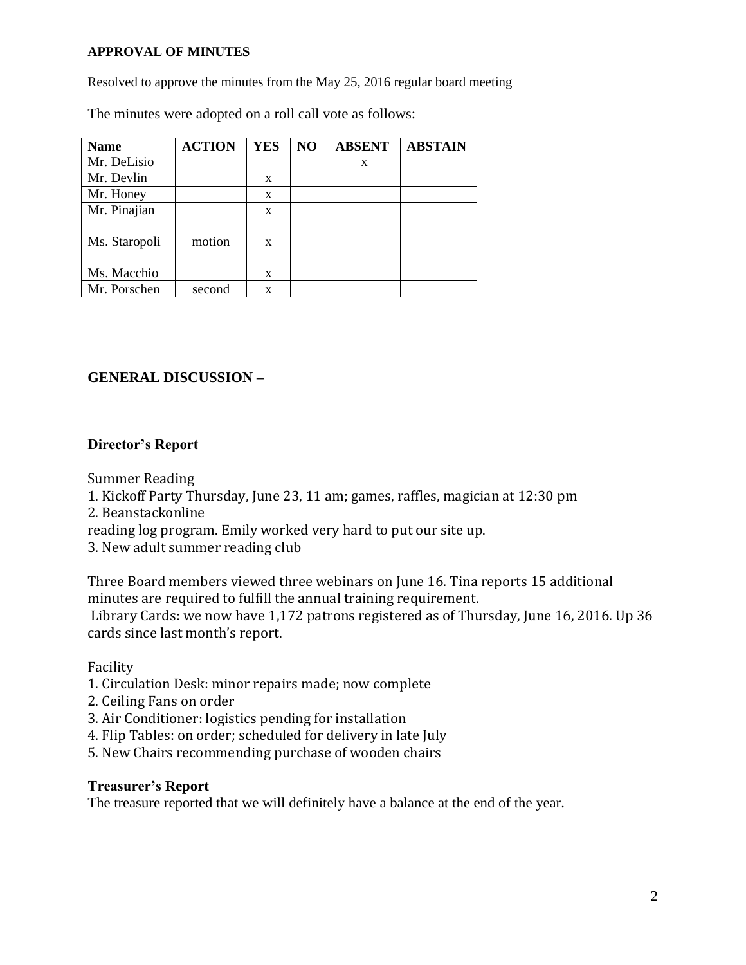#### **APPROVAL OF MINUTES**

Resolved to approve the minutes from the May 25, 2016 regular board meeting

The minutes were adopted on a roll call vote as follows:

| <b>Name</b>   | <b>ACTION</b> | <b>YES</b> | NO | <b>ABSENT</b> | <b>ABSTAIN</b> |
|---------------|---------------|------------|----|---------------|----------------|
| Mr. DeLisio   |               |            |    | X             |                |
| Mr. Devlin    |               | X          |    |               |                |
| Mr. Honey     |               | X          |    |               |                |
| Mr. Pinajian  |               | X          |    |               |                |
|               |               |            |    |               |                |
| Ms. Staropoli | motion        | X          |    |               |                |
|               |               |            |    |               |                |
| Ms. Macchio   |               | X          |    |               |                |
| Mr. Porschen  | second        | X          |    |               |                |

## **GENERAL DISCUSSION –**

## **Director's Report**

Summer Reading

- 1. Kickoff Party Thursday, June 23, 11 am; games, raffles, magician at 12:30 pm
- 2. Beanstackonline

reading log program. Emily worked very hard to put our site up.

3. New adult summer reading club

Three Board members viewed three webinars on June 16. Tina reports 15 additional minutes are required to fulfill the annual training requirement. Library Cards: we now have 1,172 patrons registered as of Thursday, June 16, 2016. Up 36 cards since last month's report.

Facility

- 1. Circulation Desk: minor repairs made; now complete
- 2. Ceiling Fans on order
- 3. Air Conditioner: logistics pending for installation
- 4. Flip Tables: on order; scheduled for delivery in late July
- 5. New Chairs recommending purchase of wooden chairs

## **Treasurer's Report**

The treasure reported that we will definitely have a balance at the end of the year.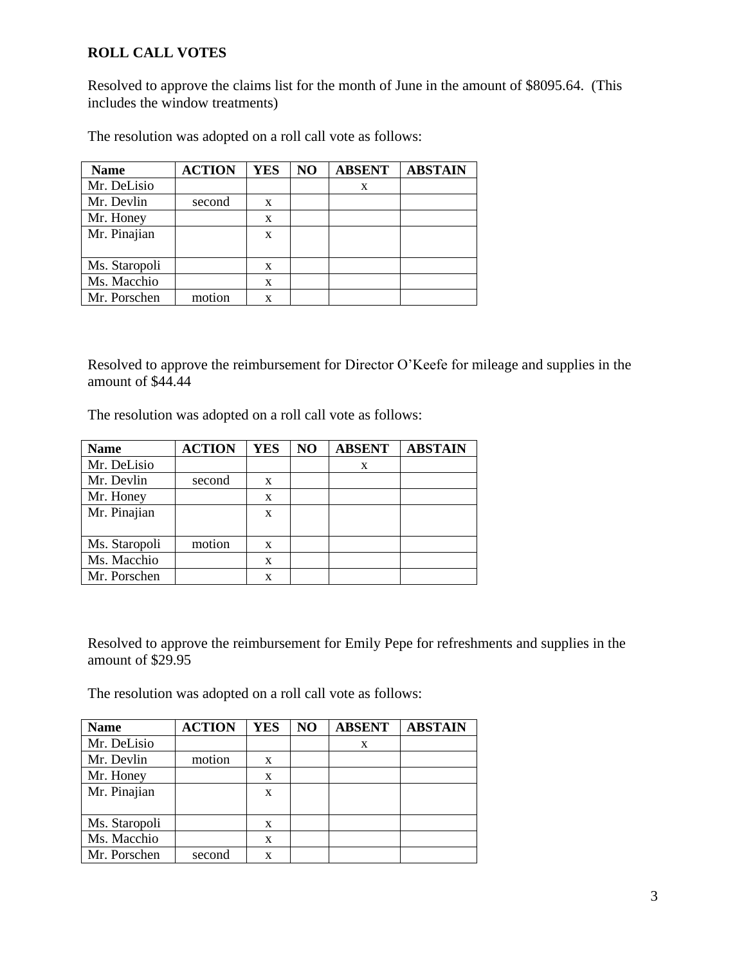# **ROLL CALL VOTES**

Resolved to approve the claims list for the month of June in the amount of \$8095.64. (This includes the window treatments)

The resolution was adopted on a roll call vote as follows:

| <b>Name</b>   | <b>ACTION</b> | <b>YES</b> | NO | <b>ABSENT</b> | <b>ABSTAIN</b> |
|---------------|---------------|------------|----|---------------|----------------|
| Mr. DeLisio   |               |            |    | X             |                |
| Mr. Devlin    | second        | X          |    |               |                |
| Mr. Honey     |               | X          |    |               |                |
| Mr. Pinajian  |               | X          |    |               |                |
| Ms. Staropoli |               | X          |    |               |                |
| Ms. Macchio   |               | X          |    |               |                |
| Mr. Porschen  | motion        | x          |    |               |                |

Resolved to approve the reimbursement for Director O'Keefe for mileage and supplies in the amount of \$44.44

The resolution was adopted on a roll call vote as follows:

| <b>Name</b>   | <b>ACTION</b> | <b>YES</b>  | NO | <b>ABSENT</b> | <b>ABSTAIN</b> |
|---------------|---------------|-------------|----|---------------|----------------|
| Mr. DeLisio   |               |             |    | X             |                |
| Mr. Devlin    | second        | $\mathbf x$ |    |               |                |
| Mr. Honey     |               | X           |    |               |                |
| Mr. Pinajian  |               | $\mathbf x$ |    |               |                |
|               |               |             |    |               |                |
| Ms. Staropoli | motion        | $\mathbf x$ |    |               |                |
| Ms. Macchio   |               | $\mathbf x$ |    |               |                |
| Mr. Porschen  |               | X           |    |               |                |

Resolved to approve the reimbursement for Emily Pepe for refreshments and supplies in the amount of \$29.95

The resolution was adopted on a roll call vote as follows:

| <b>Name</b>   | <b>ACTION</b> | <b>YES</b> | NO | <b>ABSENT</b> | <b>ABSTAIN</b> |
|---------------|---------------|------------|----|---------------|----------------|
| Mr. DeLisio   |               |            |    | X             |                |
| Mr. Devlin    | motion        | X          |    |               |                |
| Mr. Honey     |               | X          |    |               |                |
| Mr. Pinajian  |               | X          |    |               |                |
|               |               |            |    |               |                |
| Ms. Staropoli |               | X          |    |               |                |
| Ms. Macchio   |               | X          |    |               |                |
| Mr. Porschen  | second        | x          |    |               |                |